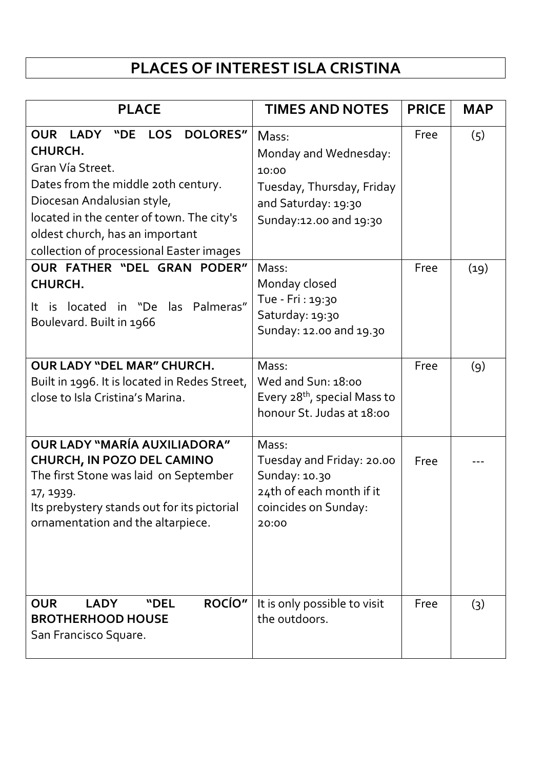## **PLACES OF INTEREST ISLA CRISTINA**

| <b>PLACE</b>                                                                                                                                                                                                                                                                            | <b>TIMES AND NOTES</b>                                                                                                | <b>PRICE</b> | <b>MAP</b> |
|-----------------------------------------------------------------------------------------------------------------------------------------------------------------------------------------------------------------------------------------------------------------------------------------|-----------------------------------------------------------------------------------------------------------------------|--------------|------------|
| <b>OUR</b><br>LADY "DE<br><b>LOS</b><br><b>DOLORES"</b><br>CHURCH.<br>Gran Vía Street.<br>Dates from the middle 20th century.<br>Diocesan Andalusian style,<br>located in the center of town. The city's<br>oldest church, has an important<br>collection of processional Easter images | Mass:<br>Monday and Wednesday:<br>10:00<br>Tuesday, Thursday, Friday<br>and Saturday: 19:30<br>Sunday:12.00 and 19:30 | Free         | (5)        |
| OUR FATHER "DEL GRAN PODER"<br><b>CHURCH.</b><br>It is located in "De las Palmeras"<br>Boulevard. Built in 1966                                                                                                                                                                         | Mass:<br>Monday closed<br>Tue - Fri : 19:30<br>Saturday: 19:30<br>Sunday: 12.00 and 19.30                             | Free         | (19)       |
| <b>OUR LADY "DEL MAR" CHURCH.</b><br>Built in 1996. It is located in Redes Street,<br>close to Isla Cristina's Marina.                                                                                                                                                                  | Mass:<br>Wed and Sun: 18:00<br>Every 28 <sup>th</sup> , special Mass to<br>honour St. Judas at 18:00                  | Free         | (9)        |
| OUR LADY "MARÍA AUXILIADORA"<br><b>CHURCH, IN POZO DEL CAMINO</b><br>The first Stone was laid on September<br>17, 1939.<br>Its prebystery stands out for its pictorial<br>ornamentation and the altarpiece.                                                                             | Mass:<br>Tuesday and Friday: 20.00<br>Sunday: 10.30<br>24th of each month if it<br>coincides on Sunday:<br>20:00      | Free         |            |
| <b>ROCÍO"</b><br><b>OUR</b><br><b>LADY</b><br>"DEL<br><b>BROTHERHOOD HOUSE</b><br>San Francisco Square.                                                                                                                                                                                 | It is only possible to visit<br>the outdoors.                                                                         | Free         | (3)        |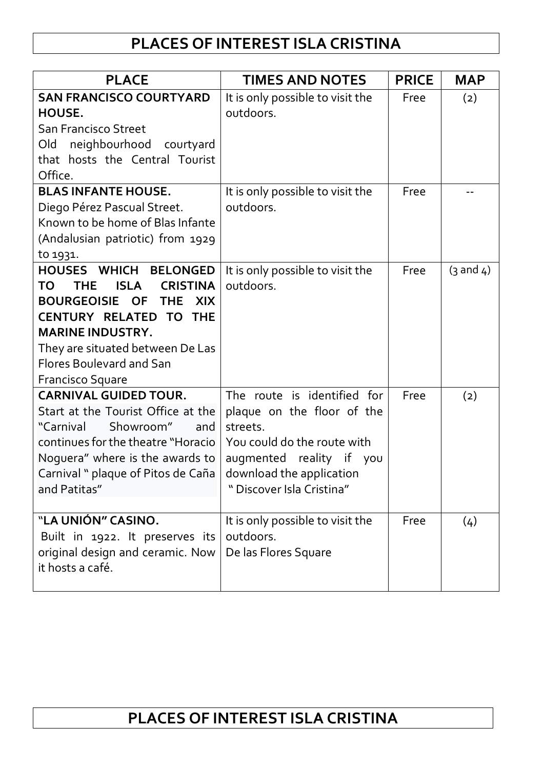## **PLACES OF INTEREST ISLA CRISTINA**

| <b>PLACE</b>                                                                                                                                                                                                                                                                                   | <b>TIMES AND NOTES</b>                                                                                                                                                                    | <b>PRICE</b> | <b>MAP</b>           |
|------------------------------------------------------------------------------------------------------------------------------------------------------------------------------------------------------------------------------------------------------------------------------------------------|-------------------------------------------------------------------------------------------------------------------------------------------------------------------------------------------|--------------|----------------------|
| <b>SAN FRANCISCO COURTYARD</b><br>HOUSE.<br><b>San Francisco Street</b><br>neighbourhood courtyard<br>Old<br>that hosts the Central Tourist<br>Office.                                                                                                                                         | It is only possible to visit the<br>outdoors.                                                                                                                                             | Free         | (2)                  |
| <b>BLAS INFANTE HOUSE.</b><br>Diego Pérez Pascual Street.<br>Known to be home of Blas Infante<br>(Andalusian patriotic) from 1929<br>to 1931.                                                                                                                                                  | It is only possible to visit the<br>outdoors.                                                                                                                                             | Free         |                      |
| HOUSES WHICH BELONGED<br><b>CRISTINA</b><br><b>TO</b><br><b>THE</b><br><b>ISLA</b><br><b>BOURGEOISIE OF</b><br><b>THE</b><br><b>XIX</b><br><b>CENTURY RELATED TO THE</b><br><b>MARINE INDUSTRY.</b><br>They are situated between De Las<br><b>Flores Boulevard and San</b><br>Francisco Square | It is only possible to visit the<br>outdoors.                                                                                                                                             | Free         | $(3 \text{ and } 4)$ |
| <b>CARNIVAL GUIDED TOUR.</b><br>Start at the Tourist Office at the<br>"Carnival<br>Showroom"<br>and<br>continues for the theatre "Horacio<br>Noguera" where is the awards to<br>Carnival " plaque of Pitos de Caña<br>and Patitas"                                                             | The route is identified for<br>plaque on the floor of the<br>streets.<br>You could do the route with<br>augmented reality if you<br>download the application<br>" Discover Isla Cristina" | Free         | (2)                  |
| "LA UNIÓN" CASINO.<br>Built in 1922. It preserves its<br>original design and ceramic. Now<br>it hosts a café.                                                                                                                                                                                  | It is only possible to visit the<br>outdoors.<br>De las Flores Square                                                                                                                     | Free         | (4)                  |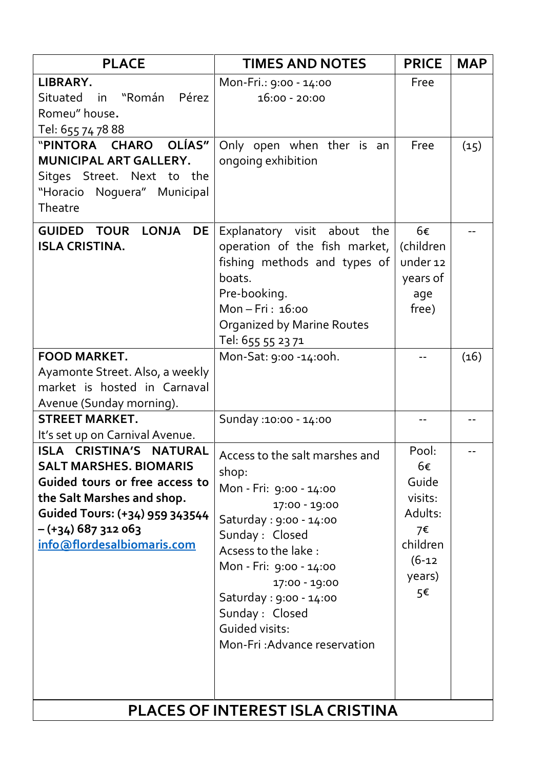| LIBRARY.                                                                                                                                                                                                         |                                                                                                                                                                                                                                                                                                                                                  |                                                                                            |      |
|------------------------------------------------------------------------------------------------------------------------------------------------------------------------------------------------------------------|--------------------------------------------------------------------------------------------------------------------------------------------------------------------------------------------------------------------------------------------------------------------------------------------------------------------------------------------------|--------------------------------------------------------------------------------------------|------|
|                                                                                                                                                                                                                  | Mon-Fri.: 9:00 - 14:00                                                                                                                                                                                                                                                                                                                           | Free                                                                                       |      |
| Pérez<br>"Román<br>Situated<br>in                                                                                                                                                                                | $16:00 - 20:00$                                                                                                                                                                                                                                                                                                                                  |                                                                                            |      |
| Romeu" house.                                                                                                                                                                                                    |                                                                                                                                                                                                                                                                                                                                                  |                                                                                            |      |
| Tel: 655 74 78 88                                                                                                                                                                                                |                                                                                                                                                                                                                                                                                                                                                  |                                                                                            |      |
| OLÍAS"<br>"PINTORA CHARO                                                                                                                                                                                         | Only open when ther is an                                                                                                                                                                                                                                                                                                                        | Free                                                                                       | (15) |
| MUNICIPAL ART GALLERY.                                                                                                                                                                                           | ongoing exhibition                                                                                                                                                                                                                                                                                                                               |                                                                                            |      |
| Sitges Street. Next to the                                                                                                                                                                                       |                                                                                                                                                                                                                                                                                                                                                  |                                                                                            |      |
| "Horacio Noguera" Municipal<br>Theatre                                                                                                                                                                           |                                                                                                                                                                                                                                                                                                                                                  |                                                                                            |      |
|                                                                                                                                                                                                                  |                                                                                                                                                                                                                                                                                                                                                  |                                                                                            |      |
| <b>LONJA</b><br><b>GUIDED</b><br><b>TOUR</b><br><b>DE</b><br><b>ISLA CRISTINA.</b>                                                                                                                               | Explanatory visit about the<br>operation of the fish market,<br>fishing methods and types of<br>boats.<br>Pre-booking.<br>Mon-Fri: 16:00                                                                                                                                                                                                         | 6€<br>(children<br>under 12<br>years of<br>age<br>free)                                    |      |
|                                                                                                                                                                                                                  | Organized by Marine Routes                                                                                                                                                                                                                                                                                                                       |                                                                                            |      |
|                                                                                                                                                                                                                  | Tel: 655 55 23 71                                                                                                                                                                                                                                                                                                                                |                                                                                            |      |
| <b>FOOD MARKET.</b>                                                                                                                                                                                              | Mon-Sat: 9:00 -14:00h.                                                                                                                                                                                                                                                                                                                           |                                                                                            | (16) |
| Ayamonte Street. Also, a weekly<br>market is hosted in Carnaval                                                                                                                                                  |                                                                                                                                                                                                                                                                                                                                                  |                                                                                            |      |
|                                                                                                                                                                                                                  |                                                                                                                                                                                                                                                                                                                                                  |                                                                                            |      |
| Avenue (Sunday morning).<br><b>STREET MARKET.</b>                                                                                                                                                                | Sunday : 10:00 - 14:00                                                                                                                                                                                                                                                                                                                           |                                                                                            |      |
| It's set up on Carnival Avenue.                                                                                                                                                                                  |                                                                                                                                                                                                                                                                                                                                                  |                                                                                            |      |
| ISLA CRISTINA'S NATURAL<br><b>SALT MARSHES, BIOMARIS</b><br>Guided tours or free access to<br>the Salt Marshes and shop.<br>Guided Tours: (+34) 959 343544<br>$-(+34)$ 687 312 063<br>info@flordesalbiomaris.com | Access to the salt marshes and<br>shop:<br>Mon - Fri: 9:00 - 14:00<br>17:00 - 19:00<br>Saturday : 9:00 - 14:00<br>Sunday : Closed<br>Acsess to the lake :<br>Mon - Fri: 9:00 - 14:00<br>17:00 - 19:00<br>Saturday : 9:00 - 14:00<br>Sunday : Closed<br>Guided visits:<br>Mon-Fri: Advance reservation<br><b>PLACES OF INTEREST ISLA CRISTINA</b> | Pool:<br>6€<br>Guide<br>visits:<br>Adults:<br>7€<br>children<br>$(6 - 12)$<br>years)<br>5€ |      |